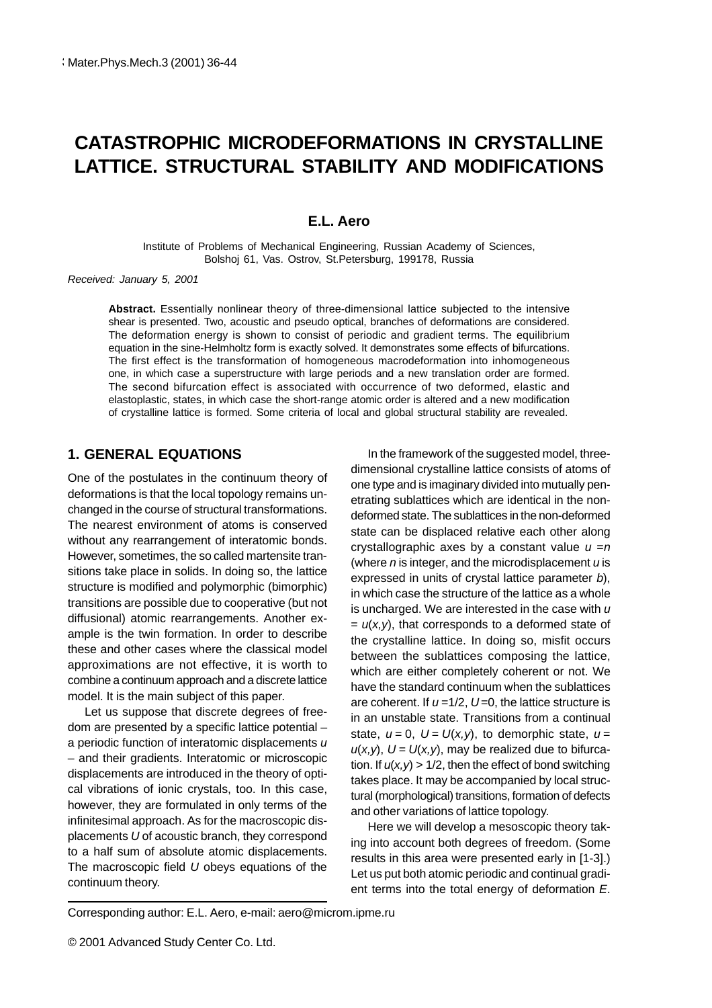# **CATASTROPHIC MICRODEFORMATIONS IN CRYSTALLINE LATTICE. STRUCTURAL STABILITY AND MODIFICATIONS**

#### **E.L. Aero**

Institute of Problems of Mechanical Engineering, Russian Academy of Sciences, Bolshoj 61, Vas. Ostrov, St.Petersburg, 199178, Russia

Received: January 5, 2001

**Abstract.** Essentially nonlinear theory of three-dimensional lattice subjected to the intensive shear is presented. Two, acoustic and pseudo optical, branches of deformations are considered. The deformation energy is shown to consist of periodic and gradient terms. The equilibrium equation in the sine-Helmholtz form is exactly solved. It demonstrates some effects of bifurcations. The first effect is the transformation of homogeneous macrodeformation into inhomogeneous one, in which case a superstructure with large periods and a new translation order are formed. The second bifurcation effect is associated with occurrence of two deformed, elastic and elastoplastic, states, in which case the short-range atomic order is altered and a new modification of crystalline lattice is formed. Some criteria of local and global structural stability are revealed.

## **1. GENERAL EQUATIONS**

One of the postulates in the continuum theory of deformations is that the local topology remains unchanged in the course of structural transformations. The nearest environment of atoms is conserved without any rearrangement of interatomic bonds. However, sometimes, the so called martensite transitions take place in solids. In doing so, the lattice structure is modified and polymorphic (bimorphic) transitions are possible due to cooperative (but not diffusional) atomic rearrangements. Another example is the twin formation. In order to describe these and other cases where the classical model approximations are not effective, it is worth to combine a continuum approach and a discrete lattice model. It is the main subject of this paper.

Let us suppose that discrete degrees of freedom are presented by a specific lattice potential – a periodic function of interatomic displacements u – and their gradients. Interatomic or microscopic displacements are introduced in the theory of optical vibrations of ionic crystals, too. In this case, however, they are formulated in only terms of the infinitesimal approach. As for the macroscopic displacements U of acoustic branch, they correspond to a half sum of absolute atomic displacements. The macroscopic field  $U$  obeys equations of the continuum theory.

In the framework of the suggested model, threedimensional crystalline lattice consists of atoms of one type and is imaginary divided into mutually penetrating sublattices which are identical in the nondeformed state. The sublattices in the non-deformed state can be displaced relative each other along crystallographic axes by a constant value  $u = n$ (where  $n$  is integer, and the microdisplacement  $u$  is expressed in units of crystal lattice parameter b), in which case the structure of the lattice as a whole is uncharged. We are interested in the case with  $u$  $= u(x, y)$ , that corresponds to a deformed state of the crystalline lattice. In doing so, misfit occurs between the sublattices composing the lattice, which are either completely coherent or not. We have the standard continuum when the sublattices are coherent. If  $u = 1/2$ ,  $U = 0$ , the lattice structure is in an unstable state. Transitions from a continual state,  $u = 0$ ,  $U = U(x, y)$ , to demorphic state,  $u =$  $u(x,y)$ ,  $U = U(x,y)$ , may be realized due to bifurcation. If  $u(x,y) > 1/2$ , then the effect of bond switching takes place. It may be accompanied by local structural (morphological) transitions, formation of defects and other variations of lattice topology.

Here we will develop a mesoscopic theory taking into account both degrees of freedom. (Some results in this area were presented early in [1-3].) Let us put both atomic periodic and continual gradient terms into the total energy of deformation E.

Corresponding author: E.L. Aero, e-mail: aero@microm.ipme.ru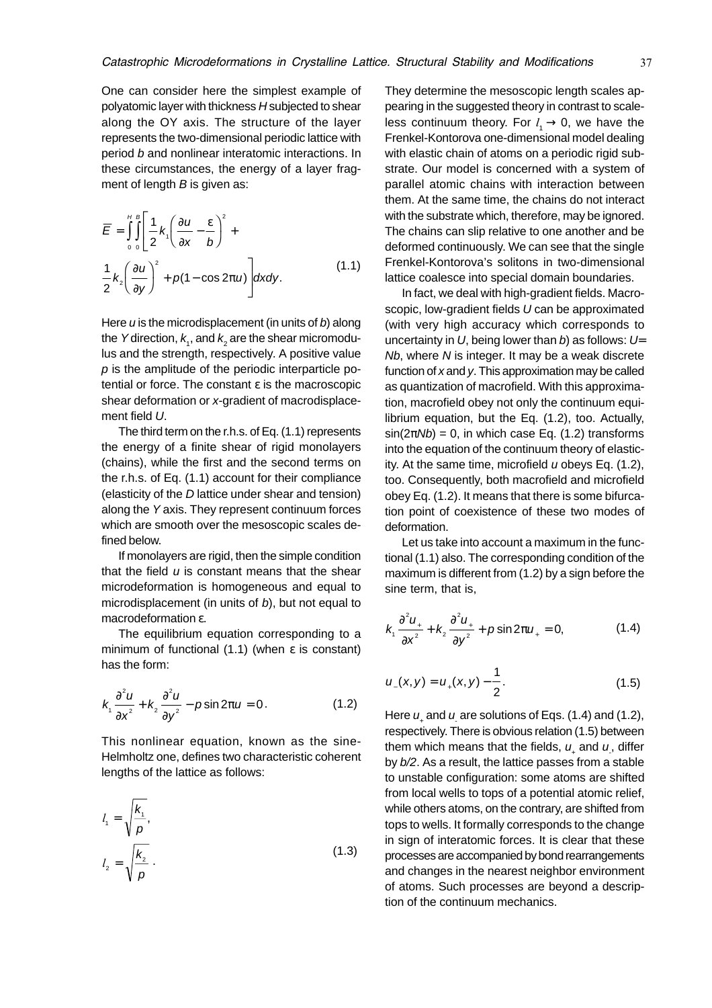One can consider here the simplest example of polyatomic layer with thickness H subjected to shear along the OY axis. The structure of the layer represents the two-dimensional periodic lattice with period b and nonlinear interatomic interactions. In these circumstances, the energy of a layer fragment of length  $B$  is given as:

$$
\overline{E} = \int_{0}^{H} \int_{0}^{B} \left[ \frac{1}{2} k_{1} \left( \frac{\partial u}{\partial x} - \frac{\varepsilon}{b} \right)^{2} + \frac{1}{2} k_{2} \left( \frac{\partial u}{\partial y} \right)^{2} + p(1 - \cos 2\pi u) \right] dxdy.
$$
\n(1.1)

Here  $u$  is the microdisplacement (in units of  $b$ ) along the Ydirection,  $k_{\!\scriptscriptstyle 1}$ , and  $k_{\!\scriptscriptstyle 2}$  are the shear micromodulus and the strength, respectively. A positive value  *is the amplitude of the periodic interparticle po*tential or force. The constant ε is the macroscopic shear deformation or x-gradient of macrodisplacement field U.

The third term on the r.h.s. of Eq. (1.1) represents the energy of a finite shear of rigid monolayers (chains), while the first and the second terms on the r.h.s. of Eq. (1.1) account for their compliance (elasticity of the D lattice under shear and tension) along the Y axis. They represent continuum forces which are smooth over the mesoscopic scales defined below.

If monolayers are rigid, then the simple condition that the field  $u$  is constant means that the shear microdeformation is homogeneous and equal to microdisplacement (in units of  $b$ ), but not equal to macrodeformation ε.

The equilibrium equation corresponding to a minimum of functional (1.1) (when ε is constant) has the form:

$$
k_1 \frac{\partial^2 u}{\partial x^2} + k_2 \frac{\partial^2 u}{\partial y^2} - p \sin 2\pi u = 0. \tag{1.2}
$$

This nonlinear equation, known as the sine-Helmholtz one, defines two characteristic coherent lengths of the lattice as follows:

$$
l_1 = \sqrt{\frac{k_1}{p}},
$$
  

$$
l_2 = \sqrt{\frac{k_2}{p}}.
$$
 (1.3)

They determine the mesoscopic length scales appearing in the suggested theory in contrast to scaleless continuum theory. For  $l_1 \rightarrow 0$ , we have the Frenkel-Kontorova one-dimensional model dealing with elastic chain of atoms on a periodic rigid substrate. Our model is concerned with a system of parallel atomic chains with interaction between them. At the same time, the chains do not interact with the substrate which, therefore, may be ignored. The chains can slip relative to one another and be deformed continuously. We can see that the single Frenkel-Kontorova's solitons in two-dimensional lattice coalesce into special domain boundaries.

In fact, we deal with high-gradient fields. Macroscopic, low-gradient fields U can be approximated (with very high accuracy which corresponds to uncertainty in  $U$ , being lower than b) as follows:  $U=$ Nb, where N is integer. It may be a weak discrete function of x and y. This approximation may be called as quantization of macrofield. With this approximation, macrofield obey not only the continuum equilibrium equation, but the Eq. (1.2), too. Actually,  $sin(2\pi Nb) = 0$ , in which case Eq. (1.2) transforms into the equation of the continuum theory of elasticity. At the same time, microfield  $u$  obeys Eq. (1.2), too. Consequently, both macrofield and microfield obey Eq. (1.2). It means that there is some bifurcation point of coexistence of these two modes of deformation.

Let us take into account a maximum in the functional (1.1) also. The corresponding condition of the maximum is different from (1.2) by a sign before the sine term, that is,

$$
k_1 \frac{\partial^2 u_+}{\partial x^2} + k_2 \frac{\partial^2 u_+}{\partial y^2} + p \sin 2\pi u_+ = 0, \tag{1.4}
$$

$$
u_{-}(x,y)=u_{+}(x,y)-\frac{1}{2}.
$$
 (1.5)

Here  $u_+$  and  $u_-\$ are solutions of Eqs. (1.4) and (1.2), respectively. There is obvious relation (1.5) between them which means that the fields,  $u_{{}_+}$  and  $u_{{}_-}$ , differ by b/2. As a result, the lattice passes from a stable to unstable configuration: some atoms are shifted from local wells to tops of a potential atomic relief, while others atoms, on the contrary, are shifted from tops to wells. It formally corresponds to the change in sign of interatomic forces. It is clear that these processes are accompanied by bond rearrangements and changes in the nearest neighbor environment of atoms. Such processes are beyond a description of the continuum mechanics.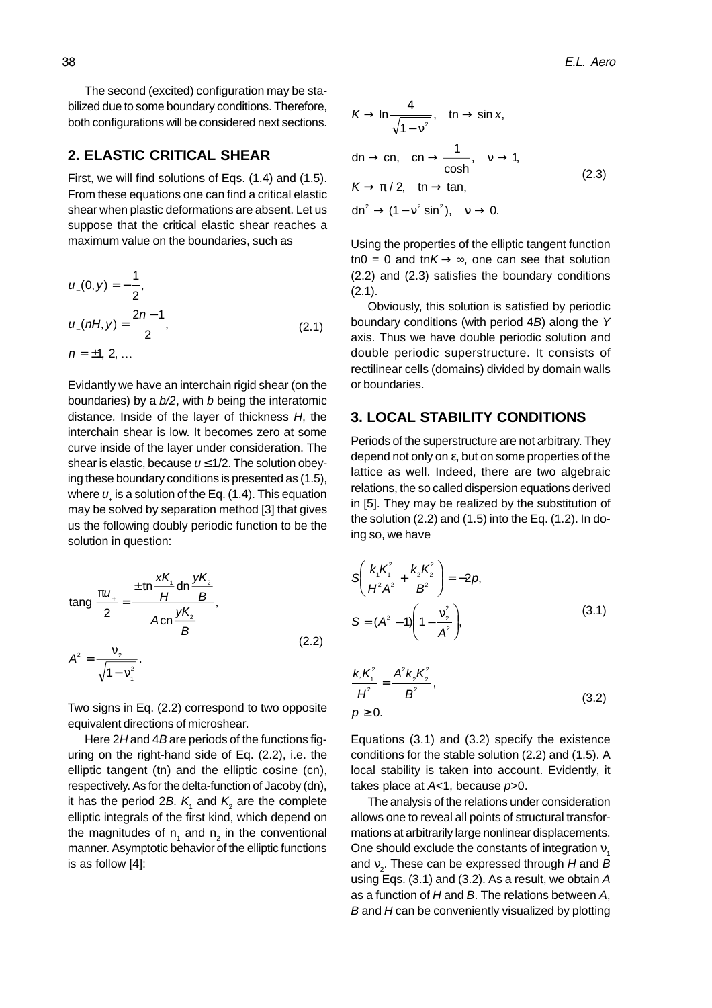The second (excited) configuration may be stabilized due to some boundary conditions. Therefore, both configurations will be considered next sections.

#### **2. ELASTIC CRITICAL SHEAR**

First, we will find solutions of Eqs. (1.4) and (1.5). From these equations one can find a critical elastic shear when plastic deformations are absent. Let us suppose that the critical elastic shear reaches a maximum value on the boundaries, such as

$$
u_{-}(0, y) = -\frac{1}{2},
$$
  
\n
$$
u_{-}(nH, y) = \frac{2n-1}{2},
$$
  
\n
$$
n = \pm 1, 2, ...
$$
\n(2.1)

Evidantly we have an interchain rigid shear (on the boundaries) by a  $b/2$ , with b being the interatomic distance. Inside of the layer of thickness H, the interchain shear is low. It becomes zero at some curve inside of the layer under consideration. The shear is elastic, because  $u \leq 1/2$ . The solution obeying these boundary conditions is presented as (1.5), where  $u_i$  is a solution of the Eq. (1.4). This equation may be solved by separation method [3] that gives us the following doubly periodic function to be the solution in question:

$$
\tan g \frac{\pi u_{+}}{2} = \frac{\pm \tan \frac{\mathsf{X} \mathsf{K}_{1}}{H} \sin \frac{\mathsf{y} \mathsf{K}_{2}}{B}}{A \cos \frac{\mathsf{y} \mathsf{K}_{2}}{B}},
$$
\n(2.2)

$$
A^2=\frac{v_2}{\sqrt{1-v_1^2}}.
$$

Two signs in Eq. (2.2) correspond to two opposite equivalent directions of microshear.

Here  $2H$  and  $4B$  are periods of the functions figuring on the right-hand side of Eq. (2.2), i.e. the elliptic tangent (tn) and the elliptic cosine (cn), respectively. As for the delta-function of Jacoby (dn), it has the period 2B.  $\mathcal{K}_{\scriptscriptstyle{1}}$  and  $\mathcal{K}_{\scriptscriptstyle{2}}$  are the complete elliptic integrals of the first kind, which depend on the magnitudes of  $n_1$  and  $n_2$  in the conventional manner. Asymptotic behavior of the elliptic functions is as follow [4]:

$$
K \to \ln \frac{4}{\sqrt{1 - v^2}}, \quad \text{tn} \to \sin x,
$$
  
\n
$$
\text{dn} \to \text{cn}, \quad \text{cn} \to \frac{1}{\cosh}, \quad v \to 1,
$$
  
\n
$$
K \to \pi / 2, \quad \text{tn} \to \tan,
$$
  
\n
$$
\text{dn}^2 \to (1 - v^2 \sin^2), \quad v \to 0.
$$
\n(2.3)

Using the properties of the elliptic tangent function tn0 = 0 and tn $K \rightarrow \infty$ , one can see that solution (2.2) and (2.3) satisfies the boundary conditions (2.1).

Obviously, this solution is satisfied by periodic boundary conditions (with period 4B) along the Y axis. Thus we have double periodic solution and double periodic superstructure. It consists of rectilinear cells (domains) divided by domain walls or boundaries.

#### **3. LOCAL STABILITY CONDITIONS**

Periods of the superstructure are not arbitrary. They depend not only on ε, but on some properties of the lattice as well. Indeed, there are two algebraic relations, the so called dispersion equations derived in [5]. They may be realized by the substitution of the solution (2.2) and (1.5) into the Eq. (1.2). In doing so, we have

$$
S\left(\frac{k_1K_1^2}{H^2A^2} + \frac{k_2K_2^2}{B^2}\right) = -2p,
$$
  
\n
$$
S = (A^2 - 1)\left(1 - \frac{v_2^2}{A^2}\right),
$$
\n(3.1)

$$
\frac{k_1 K_1^2}{H^2} = \frac{A^2 k_2 K_2^2}{B^2},
$$
\n
$$
p \ge 0.
$$
\n(3.2)

Equations (3.1) and (3.2) specify the existence conditions for the stable solution (2.2) and (1.5). A local stability is taken into account. Evidently, it takes place at  $A<1$ , because  $p>0$ .

The analysis of the relations under consideration allows one to reveal all points of structural transformations at arbitrarily large nonlinear displacements. One should exclude the constants of integration  $v<sub>1</sub>$ and  $\bm{{\mathsf{v}}}_2$ . These can be expressed through  $H$  and  $B$ using Eqs. (3.1) and (3.2). As a result, we obtain A as a function of  $H$  and  $B$ . The relations between  $A$ ,  $B$  and  $H$  can be conveniently visualized by plotting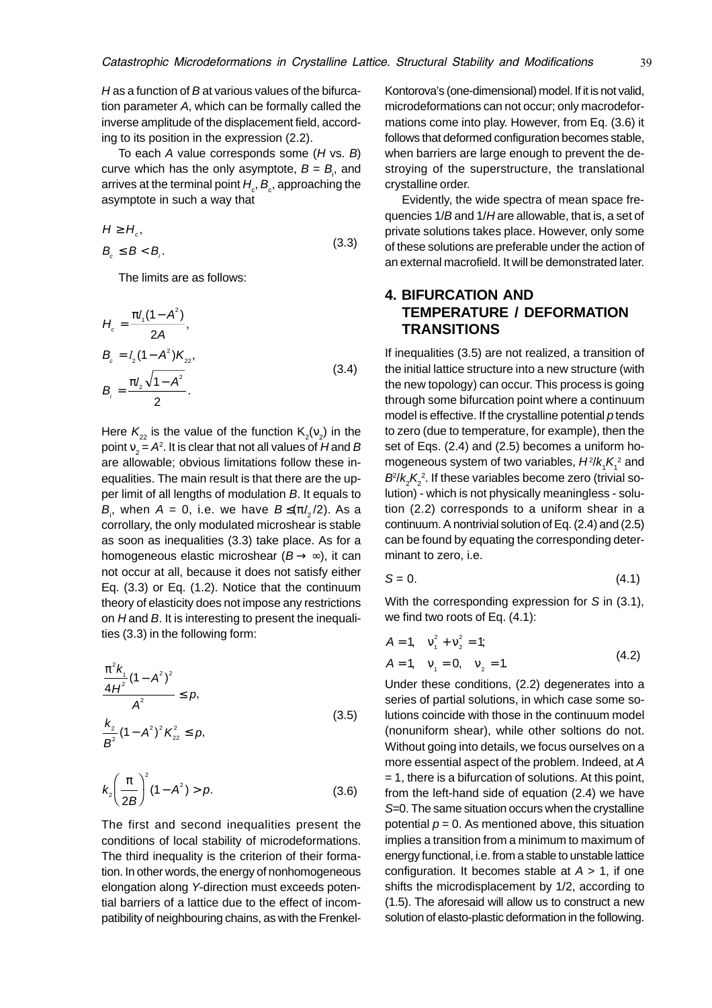H as a function of B at various values of the bifurcation parameter A, which can be formally called the inverse amplitude of the displacement field, according to its position in the expression (2.2).

To each  $A$  value corresponds some  $(H \vee S, B)$ curve which has the only asymptote,  $B = B<sub>i</sub>$ , and arrives at the terminal point  $H_{_{\rm c}}$ ,  $B_{_{\rm c}}$ , approaching the asymptote in such a way that

$$
H \ge H_c,
$$
  
\n
$$
B_c \le B < B_i.
$$
\n(3.3)

The limits are as follows:

$$
H_c = \frac{\pi l_1 (1 - A^2)}{2A},
$$
  
\n
$$
B_c = l_2 (1 - A^2) K_{22},
$$
  
\n
$$
B_i = \frac{\pi l_2 \sqrt{1 - A^2}}{2}.
$$
\n(3.4)

Here  $\mathcal{K}^{}_{22}$  is the value of the function  $\mathsf{K}^{}_{2}(\mathsf{v}^{}_{2})$  in the point  $\mathrm{v}_\mathrm{2}$  =  $A$ °. It is clear that not all values of  $H$ and  $B$ are allowable; obvious limitations follow these inequalities. The main result is that there are the upper limit of all lengths of modulation B. It equals to  $B_{i}$ , when  $A = 0$ , i.e. we have  $B \leq (\pi l_2/2)$ . As a corrollary, the only modulated microshear is stable as soon as inequalities (3.3) take place. As for a homogeneous elastic microshear  $(B \rightarrow \infty)$ , it can not occur at all, because it does not satisfy either Eq. (3.3) or Eq. (1.2). Notice that the continuum theory of elasticity does not impose any restrictions on  $H$  and  $B$ . It is interesting to present the inequalities (3.3) in the following form:

$$
\frac{\pi^2 k_1}{4H^2} (1 - A^2)^2
$$
  
\n
$$
A^2 \le p,
$$
  
\n
$$
\frac{k_2}{B^2} (1 - A^2)^2 K_{22}^2 \le p,
$$
\n(3.5)

$$
k_2 \left(\frac{\pi}{2B}\right)^2 (1 - A^2) > p.
$$
 (3.6)

The first and second inequalities present the conditions of local stability of microdeformations. The third inequality is the criterion of their formation. In other words, the energy of nonhomogeneous elongation along Y-direction must exceeds potential barriers of a lattice due to the effect of incompatibility of neighbouring chains, as with the FrenkelKontorova's (one-dimensional) model. If it is not valid, microdeformations can not occur; only macrodeformations come into play. However, from Eq. (3.6) it follows that deformed configuration becomes stable, when barriers are large enough to prevent the destroying of the superstructure, the translational crystalline order.

Evidently, the wide spectra of mean space frequencies 1/B and 1/H are allowable, that is, a set of private solutions takes place. However, only some of these solutions are preferable under the action of an external macrofield. It will be demonstrated later.

## **4. BIFURCATION AND TEMPERATURE / DEFORMATION TRANSITIONS**

If inequalities (3.5) are not realized, a transition of the initial lattice structure into a new structure (with the new topology) can occur. This process is going through some bifurcation point where a continuum model is effective. If the crystalline potential  $p$  tends to zero (due to temperature, for example), then the set of Eqs. (2.4) and (2.5) becomes a uniform homogeneous system of two variables,  $H^2\!/\!k_{_{\!1}}\!K_{_{\!1}}^2$  and  $B\llap{/}k_{2}K_{2}^{2}$ . If these variables become zero (trivial solution) - which is not physically meaningless - solution (2.2) corresponds to a uniform shear in a continuum. A nontrivial solution of Eq. (2.4) and (2.5) can be found by equating the corresponding determinant to zero, i.e.

$$
S = 0.\t\t(4.1)
$$

With the corresponding expression for S in  $(3.1)$ , we find two roots of Eq. (4.1):

$$
A = 1, \quad v_1^2 + v_2^2 = 1; A = 1, \quad v_1 = 0, \quad v_2 = 1.
$$
 (4.2)

Under these conditions, (2.2) degenerates into a series of partial solutions, in which case some solutions coincide with those in the continuum model (nonuniform shear), while other soltions do not. Without going into details, we focus ourselves on a more essential aspect of the problem. Indeed, at A  $= 1$ , there is a bifurcation of solutions. At this point, from the left-hand side of equation (2.4) we have S=0. The same situation occurs when the crystalline potential  $p = 0$ . As mentioned above, this situation implies a transition from a minimum to maximum of energy functional, i.e. from a stable to unstable lattice configuration. It becomes stable at  $A > 1$ , if one shifts the microdisplacement by 1/2, according to (1.5). The aforesaid will allow us to construct a new solution of elasto-plastic deformation in the following.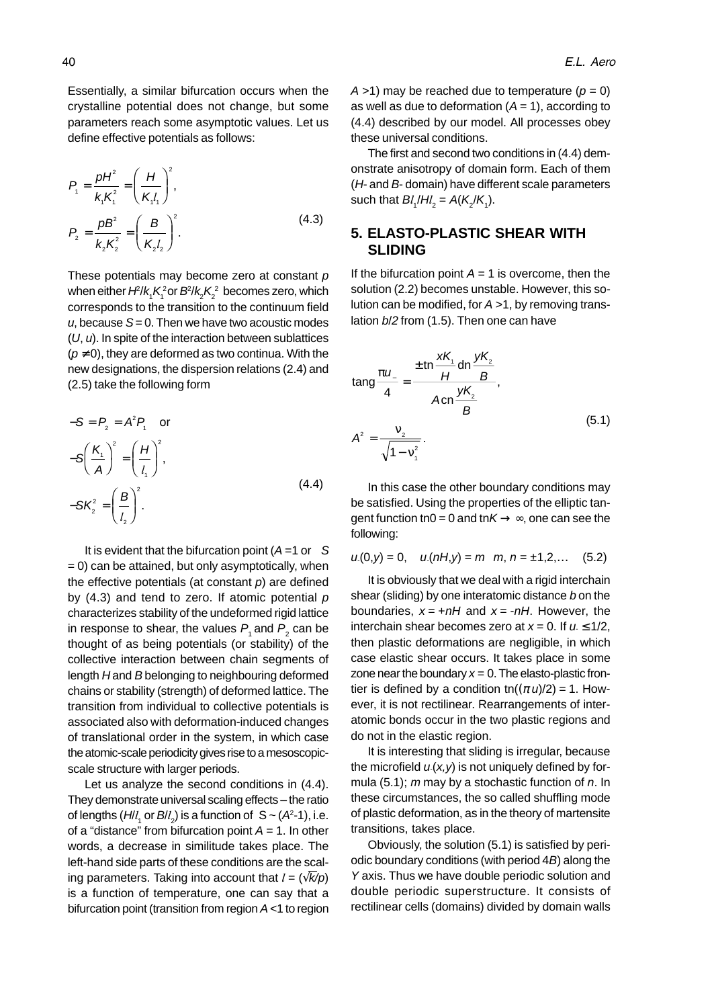Essentially, a similar bifurcation occurs when the crystalline potential does not change, but some parameters reach some asymptotic values. Let us define effective potentials as follows:

$$
P_1 = \frac{pH^2}{k_1K_1^2} = \left(\frac{H}{K_1l_1}\right)^2,
$$
  
\n
$$
P_2 = \frac{pB^2}{k_2K_2^2} = \left(\frac{B}{K_2l_2}\right)^2.
$$
 (4.3)

These potentials may become zero at constant  $p$ when either  $H$ /k, $\mathcal{K}^2_1$ or  $B^2$ / $\mathcal{K}^2_2$  becomes zero, which corresponds to the transition to the continuum field u, because  $S = 0$ . Then we have two acoustic modes (U, u). In spite of the interaction between sublattices  $(p \neq 0)$ , they are deformed as two continua. With the new designations, the dispersion relations (2.4) and (2.5) take the following form

$$
-S = P_2 = A^2 P_1 \text{ or}
$$
  

$$
-S\left(\frac{K_1}{A}\right)^2 = \left(\frac{H}{I_1}\right)^2,
$$
  

$$
-SK_2^2 = \left(\frac{B}{I_2}\right)^2.
$$
 (4.4)

It is evident that the bifurcation point  $(A = 1$  or S  $= 0$ ) can be attained, but only asymptotically, when the effective potentials (at constant  $p$ ) are defined by  $(4.3)$  and tend to zero. If atomic potential  $p$ characterizes stability of the undeformed rigid lattice in response to shear, the values  $P_{_1}$  and  $P_{_2}$  can be thought of as being potentials (or stability) of the collective interaction between chain segments of length H and B belonging to neighbouring deformed chains or stability (strength) of deformed lattice. The transition from individual to collective potentials is associated also with deformation-induced changes of translational order in the system, in which case the atomic-scale periodicity gives rise to a mesoscopicscale structure with larger periods.

Let us analyze the second conditions in (4.4). They demonstrate universal scaling effects – the ratio of lengths  $(H_l l_1 \text{ or } Bl_l)$  is a function of  $S \sim (A^2-1)$ , i.e. of a "distance" from bifurcation point  $A = 1$ . In other words, a decrease in similitude takes place. The left-hand side parts of these conditions are the scaling parameters. Taking into account that  $l = (\sqrt{k/p})$ is a function of temperature, one can say that a bifurcation point (transition from region A <1 to region

 $A > 1$ ) may be reached due to temperature ( $p = 0$ ) as well as due to deformation  $(A = 1)$ , according to (4.4) described by our model. All processes obey these universal conditions.

The first and second two conditions in (4.4) demonstrate anisotropy of domain form. Each of them (H- and B- domain) have different scale parameters such that  $Bl_1/H_2 = A(K_2/K_1)$ .

### **5. ELASTO-PLASTIC SHEAR WITH SLIDING**

If the bifurcation point  $A = 1$  is overcome, then the solution (2.2) becomes unstable. However, this solution can be modified, for  $A > 1$ , by removing translation b/2 from (1.5). Then one can have

$$
\tan g \frac{\pi u_{-}}{4} = \frac{\pm \tan \frac{xK_{1}}{H} \sin \frac{yK_{2}}{B}}{A \cos \frac{yK_{2}}{B}},
$$
\n
$$
A^{2} = \frac{v_{2}}{\sqrt{1 - v_{1}^{2}}}.
$$
\n(5.1)

In this case the other boundary conditions may be satisfied. Using the properties of the elliptic tangent function tn0 = 0 and tn $K \rightarrow \infty$ , one can see the following:

$$
u(0,y) = 0
$$
,  $u(nH,y) = m$  m,  $n = \pm 1,2,...$  (5.2)

It is obviously that we deal with a rigid interchain shear (sliding) by one interatomic distance b on the boundaries,  $x = +nH$  and  $x = -nH$ . However, the interchain shear becomes zero at  $x = 0$ . If  $u \leq 1/2$ , then plastic deformations are negligible, in which case elastic shear occurs. It takes place in some zone near the boundary  $x = 0$ . The elasto-plastic frontier is defined by a condition tn $((\pi u)/2) = 1$ . However, it is not rectilinear. Rearrangements of interatomic bonds occur in the two plastic regions and do not in the elastic region.

It is interesting that sliding is irregular, because the microfield  $u(x, y)$  is not uniquely defined by formula  $(5.1)$ ; m may by a stochastic function of n. In these circumstances, the so called shuffling mode of plastic deformation, as in the theory of martensite transitions, takes place.

Obviously, the solution (5.1) is satisfied by periodic boundary conditions (with period 4B) along the Y axis. Thus we have double periodic solution and double periodic superstructure. It consists of rectilinear cells (domains) divided by domain walls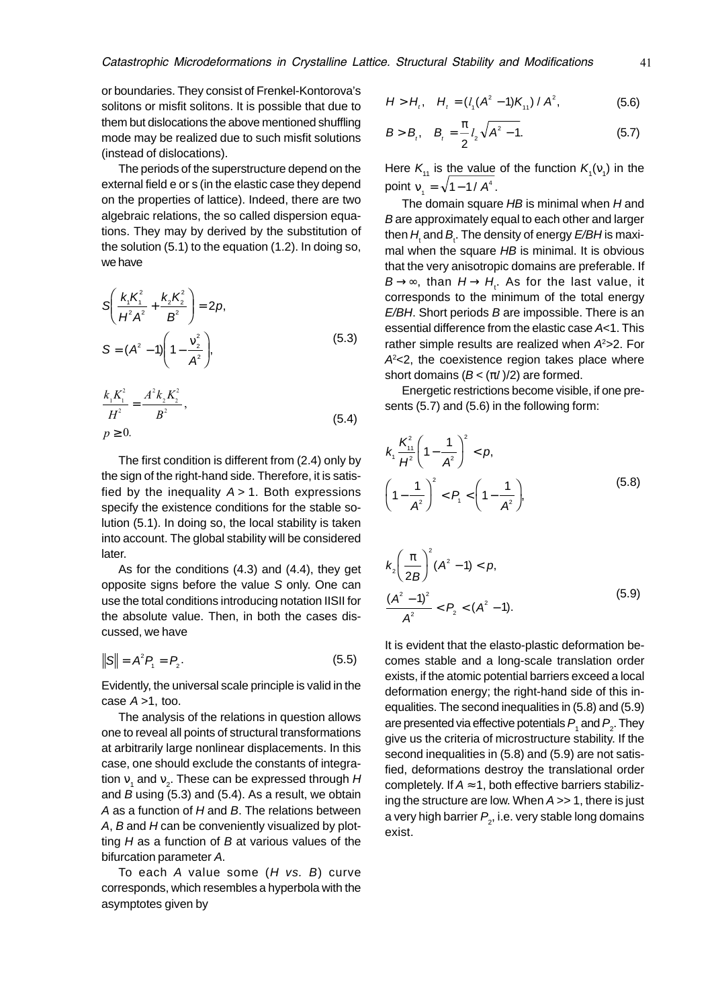or boundaries. They consist of Frenkel-Kontorova's solitons or misfit solitons. It is possible that due to them but dislocations the above mentioned shuffling mode may be realized due to such misfit solutions (instead of dislocations).

The periods of the superstructure depend on the external field e or s (in the elastic case they depend on the properties of lattice). Indeed, there are two algebraic relations, the so called dispersion equations. They may by derived by the substitution of the solution (5.1) to the equation (1.2). In doing so, we have

$$
S\left(\frac{k_1K_1^2}{H^2A^2} + \frac{k_2K_2^2}{B^2}\right) = 2p,
$$
  

$$
S = (A^2 - 1)\left(1 - \frac{v_2^2}{A^2}\right),
$$
 (5.3)

$$
\frac{k_1 K_1^2}{H^2} = \frac{A^2 k_2 K_2^2}{B^2},
$$
\n
$$
p \ge 0.
$$
\n(5.4)

The first condition is different from (2.4) only by the sign of the right-hand side. Therefore, it is satisfied by the inequality  $A > 1$ . Both expressions specify the existence conditions for the stable solution (5.1). In doing so, the local stability is taken into account. The global stability will be considered later.

As for the conditions (4.3) and (4.4), they get opposite signs before the value S only. One can use the total conditions introducing notation IISII for the absolute value. Then, in both the cases discussed, we have

$$
||S|| = A^2 P_1 = P_2.
$$
 (5.5)

Evidently, the universal scale principle is valid in the case  $A > 1$ , too.

The analysis of the relations in question allows one to reveal all points of structural transformations at arbitrarily large nonlinear displacements. In this case, one should exclude the constants of integration  $\mathsf{v}_{_1}$  and  $\mathsf{v}_{_2}$ . These can be expressed through H and  $B$  using (5.3) and (5.4). As a result, we obtain A as a function of  $H$  and  $B$ . The relations between  $A$ ,  $B$  and  $H$  can be conveniently visualized by plotting  $H$  as a function of  $B$  at various values of the bifurcation parameter A.

To each  $A$  value some  $(H$  vs.  $B)$  curve corresponds, which resembles a hyperbola with the asymptotes given by

$$
H > H_{t}, \quad H_{t} = (l_{1}(A^{2} - 1)K_{11}) / A^{2}, \tag{5.6}
$$

$$
B > B_{i}, \quad B_{i} = \frac{\pi}{2} l_{2} \sqrt{A^{2} - 1}.
$$
 (5.7)

Here  $K_{11}$  is the value of the function  $K_{1}(v_{1})$  in the point  $v_1 = \sqrt{1 - 1 / A^4}$ .

The domain square  $HB$  is minimal when  $H$  and B are approximately equal to each other and larger then  $H_{\!\scriptscriptstyle \rm t}$  and  $B_{\!\scriptscriptstyle \rm t}$ . The density of energy  $E\!/\!BH$ is maximal when the square HB is minimal. It is obvious that the very anisotropic domains are preferable. If  $\mathsf{B} \mathbin{\rightarrow} \mathbin{\infty}$ , than  $\mathsf{H} \mathbin{\rightarrow} \mathsf{H}_{\mathsf{t}}$ . As for the last value, it corresponds to the minimum of the total energy  $E/BH$ . Short periods  $B$  are impossible. There is an essential difference from the elastic case A<1. This rather simple results are realized when  $A<sup>2</sup>>2$ . For  $A<sup>2</sup>< 2$ , the coexistence region takes place where short domains  $(B < (\pi l)/2)$  are formed.

Energetic restrictions become visible, if one presents (5.7) and (5.6) in the following form:

$$
k_1 \frac{K_{11}^2}{H^2} \left(1 - \frac{1}{A^2}\right)^2 < p,
$$
\n
$$
\left(1 - \frac{1}{A^2}\right)^2 < P_1 < \left(1 - \frac{1}{A^2}\right),\tag{5.8}
$$

$$
k_2 \left(\frac{\pi}{2B}\right)^2 (A^2 - 1) < p,
$$
\n
$$
\frac{(A^2 - 1)^2}{A^2} < P_2 < (A^2 - 1).
$$
\n(5.9)

It is evident that the elasto-plastic deformation becomes stable and a long-scale translation order exists, if the atomic potential barriers exceed a local deformation energy; the right-hand side of this inequalities. The second inequalities in (5.8) and (5.9) are presented via effective potentials  $P_{_1}$  and  $P_{_2}$ . They give us the criteria of microstructure stability. If the second inequalities in (5.8) and (5.9) are not satisfied, deformations destroy the translational order completely. If  $A \approx 1$ , both effective barriers stabilizing the structure are low. When  $A \gg 1$ , there is just a very high barrier  $P_{_2}$ , i.e. very stable long domains exist.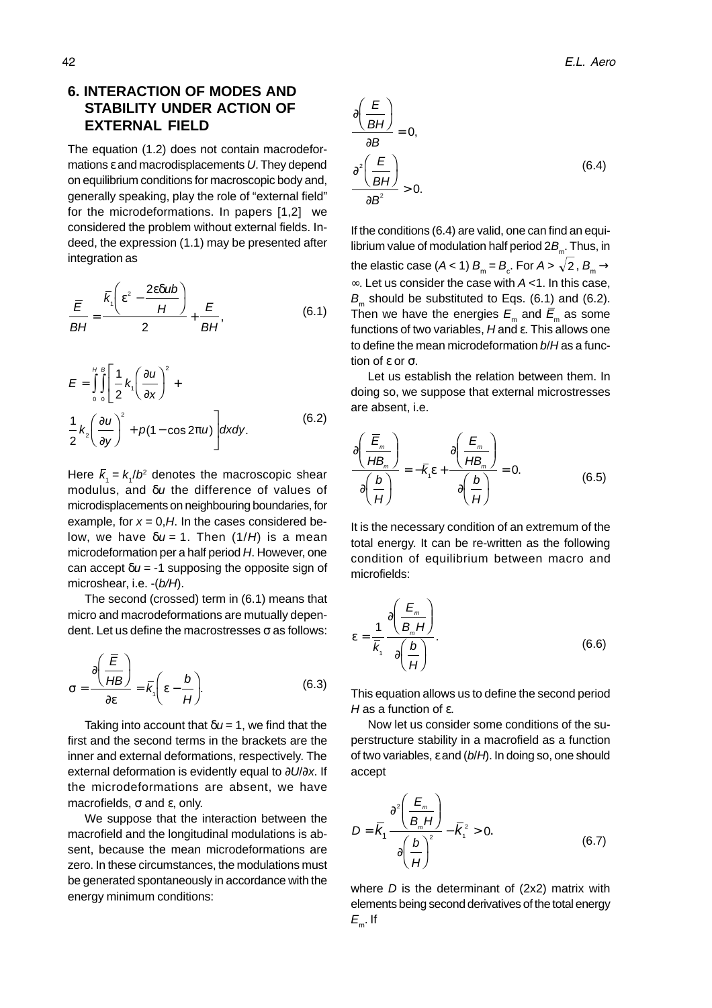# **6. INTERACTION OF MODES AND STABILITY UNDER ACTION OF EXTERNAL FIELD**

The equation (1.2) does not contain macrodeformations ε and macrodisplacements U. They depend on equilibrium conditions for macroscopic body and, generally speaking, play the role of "external field" for the microdeformations. In papers [1,2] we considered the problem without external fields. Indeed, the expression (1.1) may be presented after integration as

$$
\frac{\overline{E}}{BH} = \frac{\overline{k}_1 \left(\varepsilon^2 - \frac{2\varepsilon \delta u b}{H}\right)}{2} + \frac{\overline{E}}{BH},
$$
(6.1)

$$
E = \int_{0}^{H} \int_{0}^{B} \left[ \frac{1}{2} k_{1} \left( \frac{\partial u}{\partial x} \right)^{2} + \frac{1}{2} k_{2} \left( \frac{\partial u}{\partial y} \right)^{2} + p(1 - \cos 2\pi u) \right] dxdy.
$$
 (6.2)

Here  $\bar{k}_1 = k_1/b^2$  denotes the macroscopic shear modulus, and δu the difference of values of microdisplacements on neighbouring boundaries, for example, for  $x = 0$ , H. In the cases considered below, we have  $\delta u = 1$ . Then (1/H) is a mean microdeformation per a half period H. However, one can accept  $\delta u = -1$  supposing the opposite sign of microshear, i.e. -(b/H).

The second (crossed) term in (6.1) means that micro and macrodeformations are mutually dependent. Let us define the macrostresses  $\sigma$  as follows:

$$
\sigma = \frac{\partial \left(\frac{\overline{E}}{HB}\right)}{\partial \varepsilon} = \overline{k}_1 \left(\varepsilon - \frac{b}{H}\right).
$$
 (6.3)

Taking into account that  $\delta u = 1$ , we find that the first and the second terms in the brackets are the inner and external deformations, respectively. The external deformation is evidently equal to ∂U/∂x. If the microdeformations are absent, we have macrofields, σ and ε, only.

We suppose that the interaction between the macrofield and the longitudinal modulations is absent, because the mean microdeformations are zero. In these circumstances, the modulations must be generated spontaneously in accordance with the energy minimum conditions:

$$
\frac{\partial \left(\frac{E}{BH}\right)}{\partial B} = 0,
$$
\n
$$
\frac{\partial^2 \left(\frac{E}{BH}\right)}{\partial B^2} > 0.
$$
\n(6.4)

If the conditions (6.4) are valid, one can find an equilibrium value of modulation half period  $2B<sub>m</sub>$ . Thus, in the elastic case (*A* < 1)  $B_{_{\rm m}}$  =  $B_{_{\rm c}}.$  For *A* >  $\sqrt{2}$  ,  $B_{_{\rm m}}$   $\rightarrow$ ∞. Let us consider the case with A <1. In this case,  $B<sub>m</sub>$  should be substituted to Eqs. (6.1) and (6.2). Then we have the energies  $E_m$  and  $\bar{E}_m$  as some functions of two variables, H and ε. This allows one to define the mean microdeformation  $b/H$  as a function of ε or σ.

Let us establish the relation between them. In doing so, we suppose that external microstresses are absent, i.e.

$$
\frac{\partial \left(\frac{\overline{E}_m}{HB_m}\right)}{\partial \left(\frac{b}{H}\right)} = -\overline{k}_1 \varepsilon + \frac{\partial \left(\frac{E_m}{HB_m}\right)}{\partial \left(\frac{b}{H}\right)} = 0.
$$
\n(6.5)

It is the necessary condition of an extremum of the total energy. It can be re-written as the following condition of equilibrium between macro and microfields:

$$
\varepsilon = \frac{1}{\overline{k}_1} \frac{\partial \left(\frac{E_m}{B_m H}\right)}{\partial \left(\frac{b}{H}\right)}.
$$
\n(6.6)

This equation allows us to define the second period H as a function of  $ε$ .

Now let us consider some conditions of the superstructure stability in a macrofield as a function of two variables,  $\varepsilon$  and ( $b/H$ ). In doing so, one should accept

$$
D = \overline{K}_1 \frac{\partial^2 \left(\frac{E_m}{B_m H}\right)}{\partial \left(\frac{b}{H}\right)^2} - \overline{K}_1^2 > 0.
$$
 (6.7)

where  $D$  is the determinant of  $(2x2)$  matrix with elements being second derivatives of the total energy  $E_{\rm m}$ . If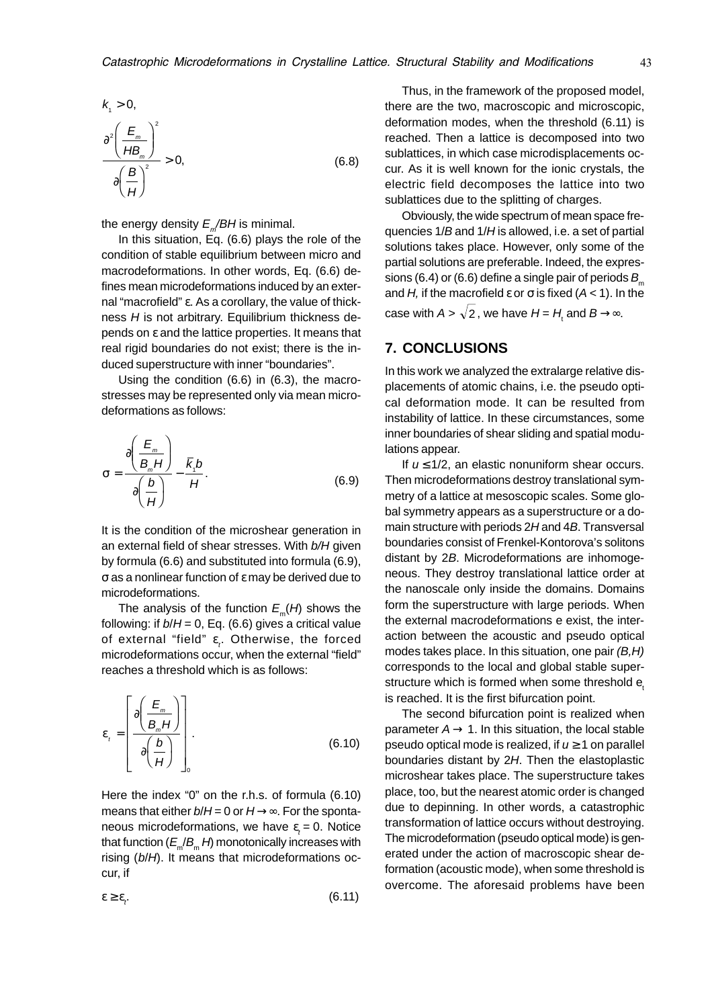$$
k_1 > 0,
$$
  
\n
$$
\frac{\partial^2 \left(\frac{E_m}{HB_m}\right)^2}{\partial \left(\frac{B}{H}\right)^2} > 0,
$$
\n(6.8)

the energy density  $E_{m}/BH$  is minimal.

In this situation, Eq. (6.6) plays the role of the condition of stable equilibrium between micro and macrodeformations. In other words, Eq. (6.6) defines mean microdeformations induced by an external "macrofield" ε. As a corollary, the value of thickness  $H$  is not arbitrary. Equilibrium thickness depends on ε and the lattice properties. It means that real rigid boundaries do not exist; there is the induced superstructure with inner "boundaries".

Using the condition (6.6) in (6.3), the macrostresses may be represented only via mean microdeformations as follows:

$$
\sigma = \frac{\partial \left(\frac{E_m}{B_m H}\right)}{\partial \left(\frac{b}{H}\right)} - \frac{\overline{k}_1 b}{H}.
$$
 (6.9)

It is the condition of the microshear generation in an external field of shear stresses. With b/H given by formula (6.6) and substituted into formula (6.9), σ as a nonlinear function of ε may be derived due to microdeformations.

The analysis of the function  $E_m(H)$  shows the following: if  $b/H = 0$ , Eq. (6.6) gives a critical value of external "field"  $\varepsilon^{}_{t}$ . Otherwise, the forced microdeformations occur, when the external "field" reaches a threshold which is as follows:

$$
\varepsilon_{t} = \left[ \frac{\partial \left( \frac{E_{m}}{B_{m} H} \right)}{\partial \left( \frac{b}{H} \right)} \right].
$$
\n(6.10)

Here the index "0" on the r.h.s. of formula (6.10) means that either  $b/H = 0$  or  $H \rightarrow \infty$ . For the spontaneous microdeformations, we have  $\varepsilon_t = 0$ . Notice that function  $(E_m/B_m H)$  monotonically increases with rising (b/H). It means that microdeformations occur, if

ε  $\geq$  ε.  $(6.11)$ 

Thus, in the framework of the proposed model, there are the two, macroscopic and microscopic, deformation modes, when the threshold (6.11) is reached. Then a lattice is decomposed into two sublattices, in which case microdisplacements occur. As it is well known for the ionic crystals, the electric field decomposes the lattice into two sublattices due to the splitting of charges.

Obviously, the wide spectrum of mean space frequencies 1/B and 1/H is allowed, i.e. a set of partial solutions takes place. However, only some of the partial solutions are preferable. Indeed, the expressions (6.4) or (6.6) define a single pair of periods  $B_m$ and H, if the macrofield  $\varepsilon$  or  $\sigma$  is fixed  $(A < 1)$ . In the case with  $A$  >  $\sqrt{2}$  , we have  $H$  =  $H_{_{\mathrm{t}}}$  and  $B$   $\rightarrow \infty.$ 

## **7. CONCLUSIONS**

In this work we analyzed the extralarge relative displacements of atomic chains, i.e. the pseudo optical deformation mode. It can be resulted from instability of lattice. In these circumstances, some inner boundaries of shear sliding and spatial modulations appear.

If  $u \leq 1/2$ , an elastic nonuniform shear occurs. Then microdeformations destroy translational symmetry of a lattice at mesoscopic scales. Some global symmetry appears as a superstructure or a domain structure with periods 2H and 4B. Transversal boundaries consist of Frenkel-Kontorova's solitons distant by 2B. Microdeformations are inhomogeneous. They destroy translational lattice order at the nanoscale only inside the domains. Domains form the superstructure with large periods. When the external macrodeformations e exist, the interaction between the acoustic and pseudo optical modes takes place. In this situation, one pair (B,H) corresponds to the local and global stable superstructure which is formed when some threshold e. is reached. It is the first bifurcation point.

The second bifurcation point is realized when parameter  $A \rightarrow 1$ . In this situation, the local stable pseudo optical mode is realized, if  $u \ge 1$  on parallel boundaries distant by 2H. Then the elastoplastic microshear takes place. The superstructure takes place, too, but the nearest atomic order is changed due to depinning. In other words, a catastrophic transformation of lattice occurs without destroying. The microdeformation (pseudo optical mode) is generated under the action of macroscopic shear deformation (acoustic mode), when some threshold is overcome. The aforesaid problems have been